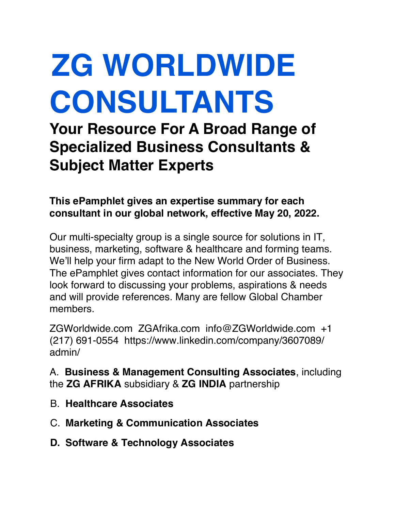# **ZG WORLDWIDE CONSULTANTS**

**Your Resource For A Broad Range of Specialized Business Consultants & Subject Matter Experts**

**This ePamphlet gives an expertise summary for each consultant in our global network, effective May 20, 2022.**

Our multi-specialty group is a single source for solutions in IT, business, marketing, software & healthcare and forming teams. We'll help your firm adapt to the New World Order of Business. The ePamphlet gives contact information for our associates. They look forward to discussing your problems, aspirations & needs and will provide references. Many are fellow Global Chamber members.

ZGWorldwide.com ZGAfrika.com info@ZGWorldwide.com +1 (217) 691-0554 https://www.linkedin.com/company/3607089/ admin/

A. **Business & Management Consulting Associates**, including the **ZG AFRIKA** subsidiary & **ZG INDIA** partnership

- B. **Healthcare Associates**
- C. **Marketing & Communication Associates**
- **D. Software & Technology Associates**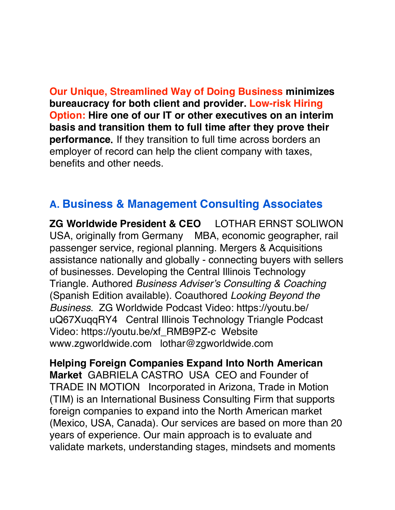**Our Unique, Streamlined Way of Doing Business minimizes bureaucracy for both client and provider. Low-risk Hiring Option: Hire one of our IT or other executives on an interim basis and transition them to full time after they prove their performance**. If they transition to full time across borders an employer of record can help the client company with taxes, benefits and other needs.

# **A. Business & Management Consulting Associates**

**ZG Worldwide President & CEO** LOTHAR ERNST SOLIWON USA, originally from Germany MBA, economic geographer, rail passenger service, regional planning. Mergers & Acquisitions assistance nationally and globally - connecting buyers with sellers of businesses. Developing the Central Illinois Technology Triangle. Authored *Business Adviser's Consulting & Coaching*  (Spanish Edition available). Coauthored *Looking Beyond the Business*. ZG Worldwide Podcast Video: https://youtu.be/ uQ67XuqqRY4 Central Illinois Technology Triangle Podcast Video: https://youtu.be/xf\_RMB9PZ-c Website www.zgworldwide.com lothar@zgworldwide.com

**Helping Foreign Companies Expand Into North American Market** GABRIELA CASTRO USA CEO and Founder of TRADE IN MOTION Incorporated in Arizona, Trade in Motion (TIM) is an International Business Consulting Firm that supports foreign companies to expand into the North American market (Mexico, USA, Canada). Our services are based on more than 20 years of experience. Our main approach is to evaluate and validate markets, understanding stages, mindsets and moments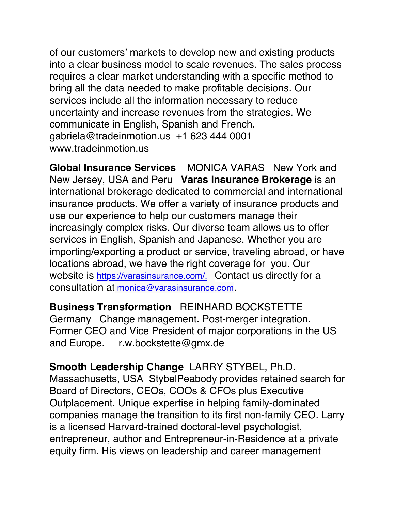of our customers' markets to develop new and existing products into a clear business model to scale revenues. The sales process requires a clear market understanding with a specific method to bring all the data needed to make profitable decisions. Our services include all the information necessary to reduce uncertainty and increase revenues from the strategies. We communicate in English, Spanish and French. gabriela@tradeinmotion.us +1 623 444 0001 www.tradeinmotion.us

**Global Insurance Services** MONICA VARAS New York and New Jersey, USA and Peru **Varas Insurance Brokerage** is an international brokerage dedicated to commercial and international insurance products. We offer a variety of insurance products and use our experience to help our customers manage their increasingly complex risks. Our diverse team allows us to offer services in English, Spanish and Japanese. Whether you are importing/exporting a product or service, traveling abroad, or have locations abroad, we have the right coverage for you. Our website is https://varasinsurance.com/. Contact us directly for a consultation at monica@varasinsurance.com.

**Business Transformation** REINHARD BOCKSTETTE Germany Change management. Post-merger integration. Former CEO and Vice President of major corporations in the US and Europe. r.w.bockstette@gmx.de

**Smooth Leadership Change** LARRY STYBEL, Ph.D. Massachusetts, USA StybelPeabody provides retained search for Board of Directors, CEOs, COOs & CFOs plus Executive Outplacement. Unique expertise in helping family-dominated companies manage the transition to its first non-family CEO. Larry is a licensed Harvard-trained doctoral-level psychologist, entrepreneur, author and Entrepreneur-in-Residence at a private equity firm. His views on leadership and career management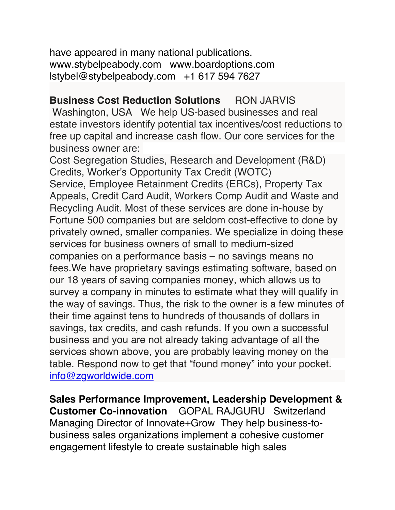have appeared in many national publications. www.stybelpeabody.com www.boardoptions.com lstybel@stybelpeabody.com +1 617 594 7627

**Business Cost Reduction Solutions** RON JARVIS Washington, USA We help US-based businesses and real estate investors identify potential tax incentives/cost reductions to free up capital and increase cash flow. Our core services for the business owner are:

Cost Segregation Studies, Research and Development (R&D) Credits, Worker's Opportunity Tax Credit (WOTC) Service, Employee Retainment Credits (ERCs), Property Tax Appeals, Credit Card Audit, Workers Comp Audit and Waste and Recycling Audit. Most of these services are done in-house by Fortune 500 companies but are seldom cost-effective to done by privately owned, smaller companies. We specialize in doing these services for business owners of small to medium-sized companies on a performance basis – no savings means no fees.We have proprietary savings estimating software, based on our 18 years of saving companies money, which allows us to survey a company in minutes to estimate what they will qualify in the way of savings. Thus, the risk to the owner is a few minutes of their time against tens to hundreds of thousands of dollars in savings, tax credits, and cash refunds. If you own a successful business and you are not already taking advantage of all the services shown above, you are probably leaving money on the table. Respond now to get that "found money" into your pocket. info@zgworldwide.com

**Sales Performance Improvement, Leadership Development & Customer Co-innovation** GOPAL RAJGURU Switzerland Managing Director of Innovate+Grow They help business-tobusiness sales organizations implement a cohesive customer engagement lifestyle to create sustainable high sales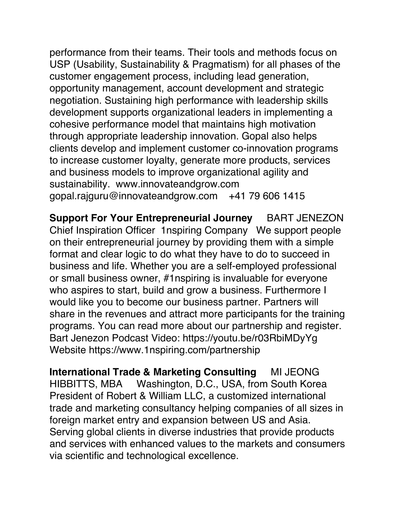performance from their teams. Their tools and methods focus on USP (Usability, Sustainability & Pragmatism) for all phases of the customer engagement process, including lead generation, opportunity management, account development and strategic negotiation. Sustaining high performance with leadership skills development supports organizational leaders in implementing a cohesive performance model that maintains high motivation through appropriate leadership innovation. Gopal also helps clients develop and implement customer co-innovation programs to increase customer loyalty, generate more products, services and business models to improve organizational agility and sustainability. www.innovateandgrow.com gopal.rajguru@innovateandgrow.com +41 79 606 1415

**Support For Your Entrepreneurial Journey** BART JENEZON Chief Inspiration Officer 1nspiring Company We support people on their entrepreneurial journey by providing them with a simple format and clear logic to do what they have to do to succeed in business and life. Whether you are a self-employed professional or small business owner, #1nspiring is invaluable for everyone who aspires to start, build and grow a business. Furthermore I would like you to become our business partner. Partners will share in the revenues and attract more participants for the training programs. You can read more about our partnership and register. Bart Jenezon Podcast Video: https://youtu.be/r03RbiMDyYg Website https://www.1nspiring.com/partnership

**International Trade & Marketing Consulting** MI JEONG HIBBITTS, MBA Washington, D.C., USA, from South Korea President of Robert & William LLC, a customized international trade and marketing consultancy helping companies of all sizes in foreign market entry and expansion between US and Asia. Serving global clients in diverse industries that provide products and services with enhanced values to the markets and consumers via scientific and technological excellence.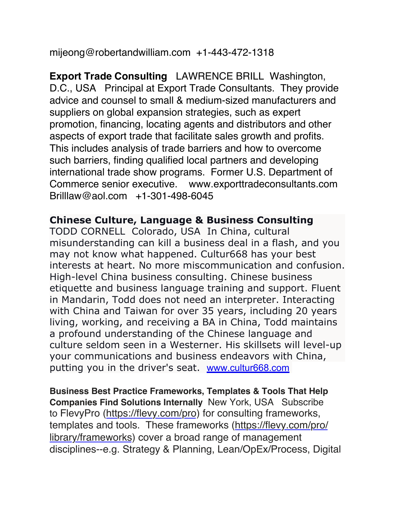mijeong@robertandwilliam.com +1-443-472-1318

**Export Trade Consulting** LAWRENCE BRILL Washington, D.C., USA Principal at Export Trade Consultants. They provide advice and counsel to small & medium-sized manufacturers and suppliers on global expansion strategies, such as expert promotion, financing, locating agents and distributors and other aspects of export trade that facilitate sales growth and profits. This includes analysis of trade barriers and how to overcome such barriers, finding qualified local partners and developing international trade show programs. Former U.S. Department of Commerce senior executive. www.exporttradeconsultants.com Brilllaw@aol.com +1-301-498-6045

#### **Chinese Culture, Language & Business Consulting**

TODD CORNELL Colorado, USA In China, cultural misunderstanding can kill a business deal in a flash, and you may not know what happened. Cultur668 has your best interests at heart. No more miscommunication and confusion. High-level China business consulting. Chinese business etiquette and business language training and support. Fluent in Mandarin, Todd does not need an interpreter. Interacting with China and Taiwan for over 35 years, including 20 years living, working, and receiving a BA in China, Todd maintains a profound understanding of the Chinese language and culture seldom seen in a Westerner. His skillsets will level-up your communications and business endeavors with China, putting you in the driver's seat. www.cultur668.com

**Business Best Practice Frameworks, Templates & Tools That Help Companies Find Solutions Internally** New York, USA Subscribe to FlevyPro (https://flevy.com/pro) for consulting frameworks, templates and tools. These frameworks (https://flevy.com/pro/ library/frameworks) cover a broad range of management disciplines--e.g. Strategy & Planning, Lean/OpEx/Process, Digital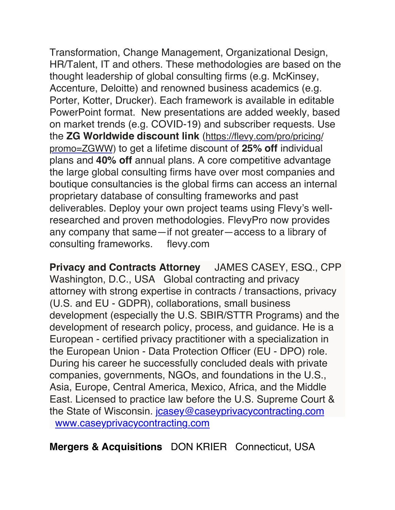Transformation, Change Management, Organizational Design, HR/Talent, IT and others. These methodologies are based on the thought leadership of global consulting firms (e.g. McKinsey, Accenture, Deloitte) and renowned business academics (e.g. Porter, Kotter, Drucker). Each framework is available in editable PowerPoint format. New presentations are added weekly, based on market trends (e.g. COVID-19) and subscriber requests. Use the **ZG Worldwide discount link** (https://flevy.com/pro/pricing/ promo=ZGWW) to get a lifetime discount of **25% off** individual plans and **40% off** annual plans. A core competitive advantage the large global consulting firms have over most companies and boutique consultancies is the global firms can access an internal proprietary database of consulting frameworks and past deliverables. Deploy your own project teams using Flevy's wellresearched and proven methodologies. FlevyPro now provides any company that same—if not greater—access to a library of consulting frameworks. flevy.com

**Privacy and Contracts Attorney** JAMES CASEY, ESQ., CPP Washington, D.C., USA Global contracting and privacy attorney with strong expertise in contracts / transactions, privacy (U.S. and EU - GDPR), collaborations, small business development (especially the U.S. SBIR/STTR Programs) and the development of research policy, process, and guidance. He is a European - certified privacy practitioner with a specialization in the European Union - Data Protection Officer (EU - DPO) role. During his career he successfully concluded deals with private companies, governments, NGOs, and foundations in the U.S., Asia, Europe, Central America, Mexico, Africa, and the Middle East. Licensed to practice law before the U.S. Supreme Court & the State of Wisconsin. jcasey@caseyprivacycontracting.com www.caseyprivacycontracting.com

**Mergers & Acquisitions** DON KRIER Connecticut, USA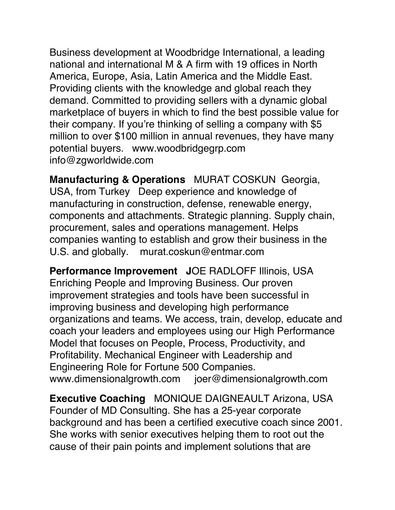Business development at Woodbridge International, a leading national and international M & A firm with 19 offices in North America, Europe, Asia, Latin America and the Middle East. Providing clients with the knowledge and global reach they demand. Committed to providing sellers with a dynamic global marketplace of buyers in which to find the best possible value for their company. If you're thinking of selling a company with \$5 million to over \$100 million in annual revenues, they have many potential buyers. www.woodbridgegrp.com info@zgworldwide.com

**Manufacturing & Operations** MURAT COSKUN Georgia, USA, from Turkey Deep experience and knowledge of manufacturing in construction, defense, renewable energy, components and attachments. Strategic planning. Supply chain, procurement, sales and operations management. Helps companies wanting to establish and grow their business in the U.S. and globally. murat.coskun@entmar.com

**Performance Improvement J**OE RADLOFF Illinois, USA Enriching People and Improving Business. Our proven improvement strategies and tools have been successful in improving business and developing high performance organizations and teams. We access, train, develop, educate and coach your leaders and employees using our High Performance Model that focuses on People, Process, Productivity, and Profitability. Mechanical Engineer with Leadership and Engineering Role for Fortune 500 Companies. www.dimensionalgrowth.com joer@dimensionalgrowth.com

**Executive Coaching** MONIQUE DAIGNEAULT Arizona, USA Founder of MD Consulting. She has a 25-year corporate background and has been a certified executive coach since 2001. She works with senior executives helping them to root out the cause of their pain points and implement solutions that are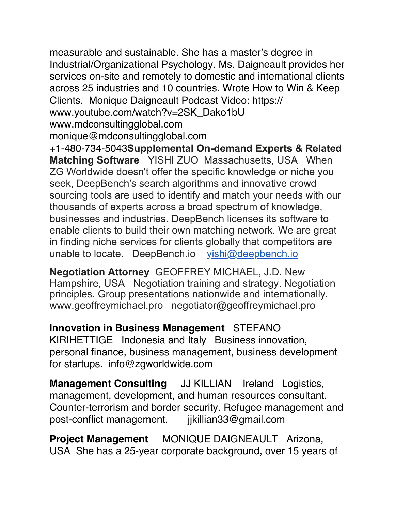measurable and sustainable. She has a master's degree in Industrial/Organizational Psychology. Ms. Daigneault provides her services on-site and remotely to domestic and international clients across 25 industries and 10 countries. Wrote How to Win & Keep Clients. Monique Daigneault Podcast Video: https:// www.youtube.com/watch?v=2SK\_Dako1bU www.mdconsultingglobal.com monique@mdconsultingglobal.com

+1-480-734-5043**Supplemental On-demand Experts & Related Matching Software** YISHI ZUO Massachusetts, USA When ZG Worldwide doesn't offer the specific knowledge or niche you seek, DeepBench's search algorithms and innovative crowd sourcing tools are used to identify and match your needs with our thousands of experts across a broad spectrum of knowledge, businesses and industries. DeepBench licenses its software to enable clients to build their own matching network. We are great in finding niche services for clients globally that competitors are unable to locate. DeepBench.io yishi@deepbench.io

**Negotiation Attorney** GEOFFREY MICHAEL, J.D. New Hampshire, USA Negotiation training and strategy. Negotiation principles. Group presentations nationwide and internationally. www.geoffreymichael.pro negotiator@geoffreymichael.pro

**Innovation in Business Management** STEFANO KIRIHETTIGE Indonesia and Italy Business innovation, personal finance, business management, business development for startups. info@zgworldwide.com

**Management Consulting** JJ KILLIAN Ireland Logistics, management, development, and human resources consultant. Counter-terrorism and border security. Refugee management and post-conflict management. jjkillian33@gmail.com

**Project Management** MONIQUE DAIGNEAULT Arizona, USA She has a 25-year corporate background, over 15 years of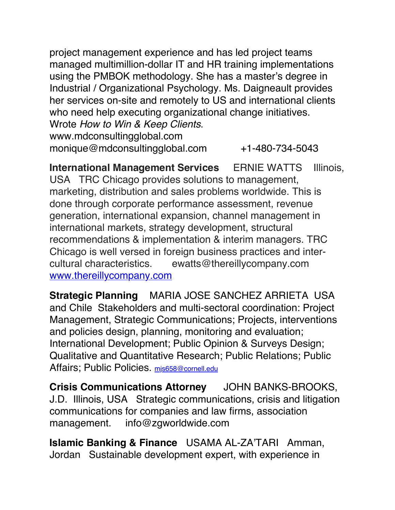project management experience and has led project teams managed multimillion-dollar IT and HR training implementations using the PMBOK methodology. She has a master's degree in Industrial / Organizational Psychology. Ms. Daigneault provides her services on-site and remotely to US and international clients who need help executing organizational change initiatives. Wrote *How to Win & Keep Clients*. www.mdconsultingglobal.com

monique@mdconsultingglobal.com +1-480-734-5043

**International Management Services** ERNIE WATTS Illinois, USA TRC Chicago provides solutions to management, marketing, distribution and sales problems worldwide. This is done through corporate performance assessment, revenue generation, international expansion, channel management in international markets, strategy development, structural recommendations & implementation & interim managers. TRC Chicago is well versed in foreign business practices and intercultural characteristics. ewatts@thereillycompany.com www.thereillycompany.com

**Strategic Planning** MARIA JOSE SANCHEZ ARRIETA USA and Chile Stakeholders and multi-sectoral coordination: Project Management, Strategic Communications; Projects, interventions and policies design, planning, monitoring and evaluation; International Development; Public Opinion & Surveys Design; Qualitative and Quantitative Research; Public Relations; Public Affairs; Public Policies. mis658@cornell.edu

**Crisis Communications Attorney** JOHN BANKS-BROOKS, J.D. Illinois, USA Strategic communications, crisis and litigation communications for companies and law firms, association management. info@zgworldwide.com

**Islamic Banking & Finance** USAMA AL-ZA'TARI Amman, Jordan Sustainable development expert, with experience in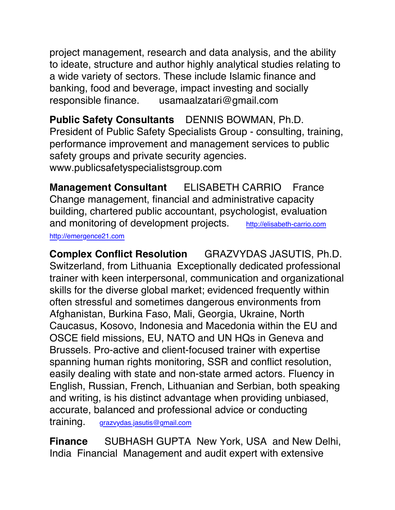project management, research and data analysis, and the ability to ideate, structure and author highly analytical studies relating to a wide variety of sectors. These include Islamic finance and banking, food and beverage, impact investing and socially responsible finance. usamaalzatari@gmail.com

**Public Safety Consultants** DENNIS BOWMAN, Ph.D. President of Public Safety Specialists Group - consulting, training, performance improvement and management services to public safety groups and private security agencies. www.publicsafetyspecialistsgroup.com

**Management Consultant** ELISABETH CARRIO France Change management, financial and administrative capacity building, chartered public accountant, psychologist, evaluation and monitoring of development projects. http://elisabeth-carrio.com http://emergence21.com

**Complex Conflict Resolution** GRAZVYDAS JASUTIS, Ph.D. Switzerland, from Lithuania Exceptionally dedicated professional trainer with keen interpersonal, communication and organizational skills for the diverse global market; evidenced frequently within often stressful and sometimes dangerous environments from Afghanistan, Burkina Faso, Mali, Georgia, Ukraine, North Caucasus, Kosovo, Indonesia and Macedonia within the EU and OSCE field missions, EU, NATO and UN HQs in Geneva and Brussels. Pro-active and client-focused trainer with expertise spanning human rights monitoring, SSR and conflict resolution, easily dealing with state and non-state armed actors. Fluency in English, Russian, French, Lithuanian and Serbian, both speaking and writing, is his distinct advantage when providing unbiased, accurate, balanced and professional advice or conducting

training. grazvydas.jasutis@gmail.com

**Finance** SUBHASH GUPTA New York, USA and New Delhi, India Financial Management and audit expert with extensive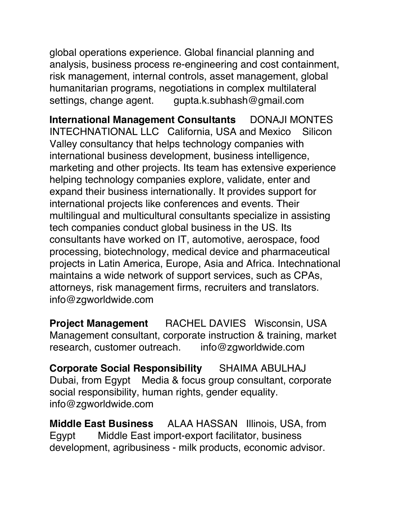global operations experience. Global financial planning and analysis, business process re-engineering and cost containment, risk management, internal controls, asset management, global humanitarian programs, negotiations in complex multilateral settings, change agent. gupta.k.subhash@gmail.com

**International Management Consultants** DONAJI MONTES INTECHNATIONAL LLC California, USA and Mexico Silicon Valley consultancy that helps technology companies with international business development, business intelligence, marketing and other projects. Its team has extensive experience helping technology companies explore, validate, enter and expand their business internationally. It provides support for international projects like conferences and events. Their multilingual and multicultural consultants specialize in assisting tech companies conduct global business in the US. Its consultants have worked on IT, automotive, aerospace, food processing, biotechnology, medical device and pharmaceutical projects in Latin America, Europe, Asia and Africa. Intechnational maintains a wide network of support services, such as CPAs, attorneys, risk management firms, recruiters and translators. info@zgworldwide.com

**Project Management** RACHEL DAVIES Wisconsin, USA Management consultant, corporate instruction & training, market research, customer outreach. info@zgworldwide.com

**Corporate Social Responsibility** SHAIMA ABULHAJ Dubai, from Egypt Media & focus group consultant, corporate social responsibility, human rights, gender equality. info@zgworldwide.com

**Middle East Business** ALAA HASSAN Illinois, USA, from Egypt Middle East import-export facilitator, business development, agribusiness - milk products, economic advisor.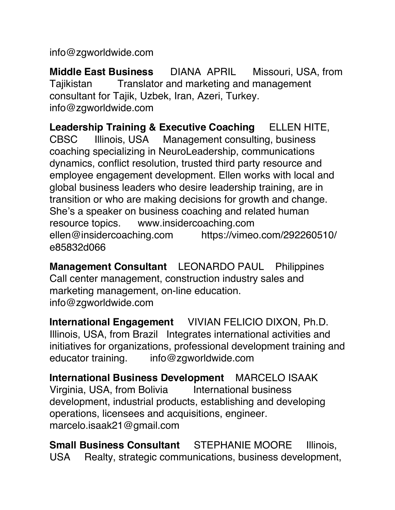info@zgworldwide.com

**Middle East Business** DIANA APRIL Missouri, USA, from Tajikistan Translator and marketing and management consultant for Tajik, Uzbek, Iran, Azeri, Turkey. info@zgworldwide.com

**Leadership Training & Executive Coaching** ELLEN HITE, CBSC Illinois, USA Management consulting, business coaching specializing in NeuroLeadership, communications dynamics, conflict resolution, trusted third party resource and employee engagement development. Ellen works with local and global business leaders who desire leadership training, are in transition or who are making decisions for growth and change. She's a speaker on business coaching and related human resource topics. www.insidercoaching.com ellen@insidercoaching.com https://vimeo.com/292260510/ e85832d066

**Management Consultant** LEONARDO PAUL Philippines Call center management, construction industry sales and marketing management, on-line education. info@zgworldwide.com

**International Engagement** VIVIAN FELICIO DIXON, Ph.D. Illinois, USA, from Brazil Integrates international activities and initiatives for organizations, professional development training and educator training. info@zgworldwide.com

**International Business Development** MARCELO ISAAK Virginia, USA, from Bolivia International business development, industrial products, establishing and developing operations, licensees and acquisitions, engineer. marcelo.isaak21@gmail.com

**Small Business Consultant** STEPHANIE MOORE Illinois, USA Realty, strategic communications, business development,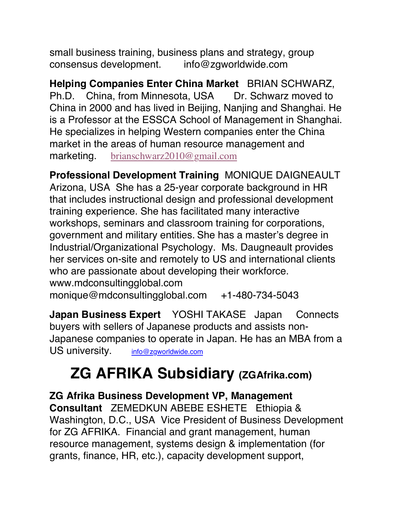small business training, business plans and strategy, group consensus development. info@zgworldwide.com

**Helping Companies Enter China Market** BRIAN SCHWARZ, Ph.D. China, from Minnesota, USA Dr. Schwarz moved to China in 2000 and has lived in Beijing, Nanjing and Shanghai. He is a Professor at the ESSCA School of Management in Shanghai. He specializes in helping Western companies enter the China market in the areas of human resource management and marketing. brianschwarz2010@gmail.com

**Professional Development Training** MONIQUE DAIGNEAULT Arizona, USA She has a 25-year corporate background in HR that includes instructional design and professional development training experience. She has facilitated many interactive workshops, seminars and classroom training for corporations, government and military entities. She has a master's degree in Industrial/Organizational Psychology. Ms. Daugneault provides her services on-site and remotely to US and international clients who are passionate about developing their workforce. www.mdconsultingglobal.com

monique@mdconsultingglobal.com +1-480-734-5043

**Japan Business Expert** YOSHI TAKASE Japan Connects buyers with sellers of Japanese products and assists non-Japanese companies to operate in Japan. He has an MBA from a US university. info@zgworldwide.com

# **ZG AFRIKA Subsidiary (ZGAfrika.com)**

**ZG Afrika Business Development VP, Management Consultant** ZEMEDKUN ABEBE ESHETE Ethiopia & Washington, D.C., USA Vice President of Business Development for ZG AFRIKA. Financial and grant management, human resource management, systems design & implementation (for grants, finance, HR, etc.), capacity development support,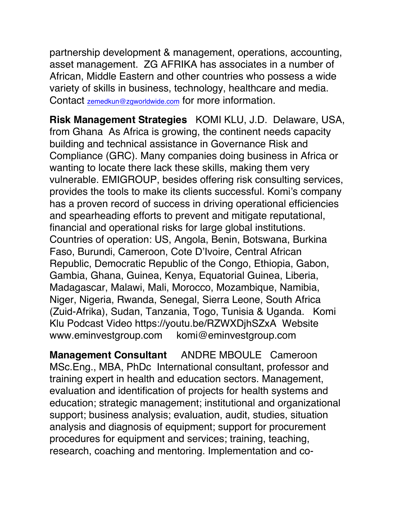partnership development & management, operations, accounting, asset management. ZG AFRIKA has associates in a number of African, Middle Eastern and other countries who possess a wide variety of skills in business, technology, healthcare and media. Contact zemedkun@zgworldwide.com for more information.

**Risk Management Strategies** KOMI KLU, J.D. Delaware, USA, from Ghana As Africa is growing, the continent needs capacity building and technical assistance in Governance Risk and Compliance (GRC). Many companies doing business in Africa or wanting to locate there lack these skills, making them very vulnerable. EMIGROUP, besides offering risk consulting services, provides the tools to make its clients successful. Komi's company has a proven record of success in driving operational efficiencies and spearheading efforts to prevent and mitigate reputational, financial and operational risks for large global institutions. Countries of operation: US, Angola, Benin, Botswana, Burkina Faso, Burundi, Cameroon, Cote D'Ivoire, Central African Republic, Democratic Republic of the Congo, Ethiopia, Gabon, Gambia, Ghana, Guinea, Kenya, Equatorial Guinea, Liberia, Madagascar, Malawi, Mali, Morocco, Mozambique, Namibia, Niger, Nigeria, Rwanda, Senegal, Sierra Leone, South Africa (Zuid-Afrika), Sudan, Tanzania, Togo, Tunisia & Uganda. Komi Klu Podcast Video https://youtu.be/RZWXDjhSZxA Website www.eminvestgroup.com komi@eminvestgroup.com

**Management Consultant** ANDRE MBOULE Cameroon MSc.Eng., MBA, PhDc International consultant, professor and training expert in health and education sectors. Management, evaluation and identification of projects for health systems and education; strategic management; institutional and organizational support; business analysis; evaluation, audit, studies, situation analysis and diagnosis of equipment; support for procurement procedures for equipment and services; training, teaching, research, coaching and mentoring. Implementation and co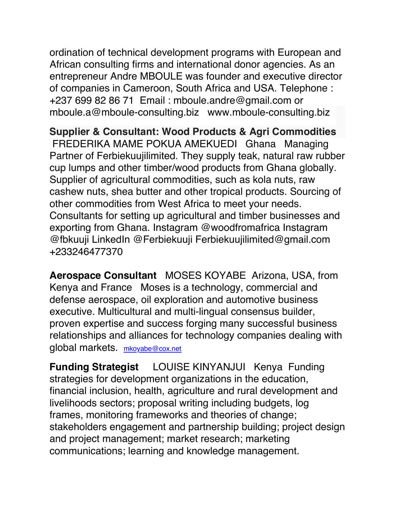ordination of technical development programs with European and African consulting firms and international donor agencies. As an entrepreneur Andre MBOULE was founder and executive director of companies in Cameroon, South Africa and USA. Telephone : +237 699 82 86 71 Email : mboule.andre@gmail.com or mboule.a@mboule-consulting.biz www.mboule-consulting.biz

**Supplier & Consultant: Wood Products & Agri Commodities**  FREDERIKA MAME POKUA AMEKUEDI Ghana Managing Partner of Ferbiekuujilimited. They supply teak, natural raw rubber cup lumps and other timber/wood products from Ghana globally. Supplier of agricultural commodities, such as kola nuts, raw cashew nuts, shea butter and other tropical products. Sourcing of other commodities from West Africa to meet your needs. Consultants for setting up agricultural and timber businesses and exporting from Ghana. Instagram @woodfromafrica Instagram @fbkuuji LinkedIn @Ferbiekuuji Ferbiekuujilimited@gmail.com +233246477370

**Aerospace Consultant** MOSES KOYABE Arizona, USA, from Kenya and France Moses is a technology, commercial and defense aerospace, oil exploration and automotive business executive. Multicultural and multi-lingual consensus builder, proven expertise and success forging many successful business relationships and alliances for technology companies dealing with global markets. mkoyabe@cox.net

**Funding Strategist** LOUISE KINYANJUI Kenya Funding strategies for development organizations in the education, financial inclusion, health, agriculture and rural development and livelihoods sectors; proposal writing including budgets, log frames, monitoring frameworks and theories of change; stakeholders engagement and partnership building; project design and project management; market research; marketing communications; learning and knowledge management.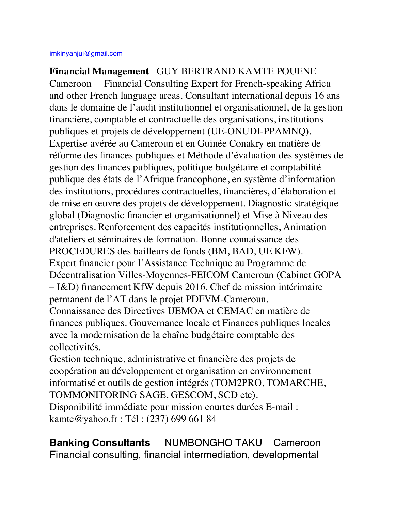**Financial Management** GUY BERTRAND KAMTE POUENE Cameroon Financial Consulting Expert for French-speaking Africa and other French language areas. Consultant international depuis 16 ans dans le domaine de l'audit institutionnel et organisationnel, de la gestion financière, comptable et contractuelle des organisations, institutions publiques et projets de développement (UE-ONUDI-PPAMNQ). Expertise avérée au Cameroun et en Guinée Conakry en matière de réforme des finances publiques et Méthode d'évaluation des systèmes de gestion des finances publiques, politique budgétaire et comptabilité publique des états de l'Afrique francophone, en système d'information des institutions, procédures contractuelles, financières, d'élaboration et de mise en œuvre des projets de développement. Diagnostic stratégique global (Diagnostic financier et organisationnel) et Mise à Niveau des entreprises. Renforcement des capacités institutionnelles, Animation d'ateliers et séminaires de formation. Bonne connaissance des PROCEDURES des bailleurs de fonds (BM, BAD, UE KFW). Expert financier pour l'Assistance Technique au Programme de Décentralisation Villes-Moyennes-FEICOM Cameroun (Cabinet GOPA – I&D) financement KfW depuis 2016. Chef de mission intérimaire permanent de l'AT dans le projet PDFVM-Cameroun. Connaissance des Directives UEMOA et CEMAC en matière de finances publiques. Gouvernance locale et Finances publiques locales avec la modernisation de la chaîne budgétaire comptable des collectivités.

Gestion technique, administrative et financière des projets de coopération au développement et organisation en environnement informatisé et outils de gestion intégrés (TOM2PRO, TOMARCHE, TOMMONITORING SAGE, GESCOM, SCD etc).

Disponibilité immédiate pour mission courtes durées E-mail : kamte@yahoo.fr ; Tél : (237) 699 661 84

**Banking Consultants** NUMBONGHO TAKU Cameroon Financial consulting, financial intermediation, developmental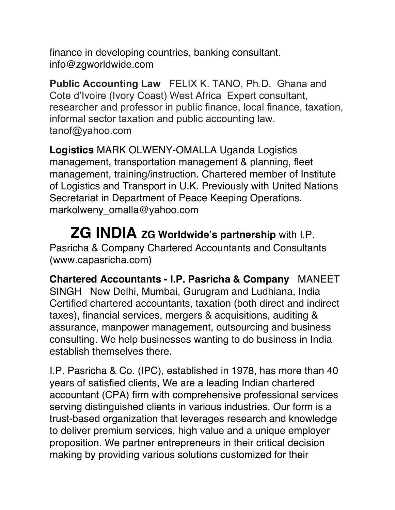finance in developing countries, banking consultant. info@zgworldwide.com

**Public Accounting Law** FELIX K. TANO, Ph.D. Ghana and Cote d'Ivoire (Ivory Coast) West Africa Expert consultant, researcher and professor in public finance, local finance, taxation, informal sector taxation and public accounting law. tanof@yahoo.com

**Logistics** MARK OLWENY-OMALLA Uganda Logistics management, transportation management & planning, fleet management, training/instruction. Chartered member of Institute of Logistics and Transport in U.K. Previously with United Nations Secretariat in Department of Peace Keeping Operations. markolweny\_omalla@yahoo.com

## **ZG INDIA ZG Worldwide's partnership** with I.P. Pasricha & Company Chartered Accountants and Consultants (www.capasricha.com)

**Chartered Accountants - I.P. Pasricha & Company** MANEET SINGH New Delhi, Mumbai, Gurugram and Ludhiana, India Certified chartered accountants, taxation (both direct and indirect taxes), financial services, mergers & acquisitions, auditing & assurance, manpower management, outsourcing and business consulting. We help businesses wanting to do business in India establish themselves there.

I.P. Pasricha & Co. (IPC), established in 1978, has more than 40 years of satisfied clients, We are a leading Indian chartered accountant (CPA) firm with comprehensive professional services serving distinguished clients in various industries. Our form is a trust-based organization that leverages research and knowledge to deliver premium services, high value and a unique employer proposition. We partner entrepreneurs in their critical decision making by providing various solutions customized for their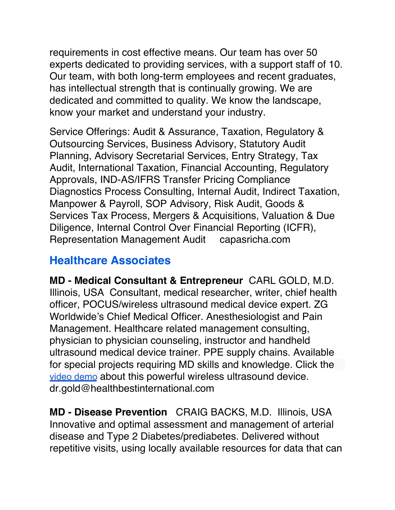requirements in cost effective means. Our team has over 50 experts dedicated to providing services, with a support staff of 10. Our team, with both long-term employees and recent graduates, has intellectual strength that is continually growing. We are dedicated and committed to quality. We know the landscape, know your market and understand your industry.

Service Offerings: Audit & Assurance, Taxation, Regulatory & Outsourcing Services, Business Advisory, Statutory Audit Planning, Advisory Secretarial Services, Entry Strategy, Tax Audit, International Taxation, Financial Accounting, Regulatory Approvals, IND-AS/IFRS Transfer Pricing Compliance Diagnostics Process Consulting, Internal Audit, Indirect Taxation, Manpower & Payroll, SOP Advisory, Risk Audit, Goods & Services Tax Process, Mergers & Acquisitions, Valuation & Due Diligence, Internal Control Over Financial Reporting (ICFR), Representation Management Audit capasricha.com

# **Healthcare Associates**

**MD - Medical Consultant & Entrepreneur** CARL GOLD, M.D. Illinois, USA Consultant, medical researcher, writer, chief health officer, POCUS/wireless ultrasound medical device expert. ZG Worldwide's Chief Medical Officer. Anesthesiologist and Pain Management. Healthcare related management consulting, physician to physician counseling, instructor and handheld ultrasound medical device trainer. PPE supply chains. Available for special projects requiring MD skills and knowledge. Click the video demo about this powerful wireless ultrasound device. dr.gold@healthbestinternational.com

**MD - Disease Prevention** CRAIG BACKS, M.D. Illinois, USA Innovative and optimal assessment and management of arterial disease and Type 2 Diabetes/prediabetes. Delivered without repetitive visits, using locally available resources for data that can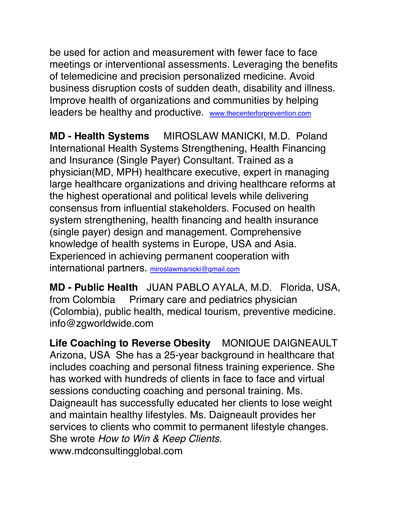be used for action and measurement with fewer face to face meetings or interventional assessments. Leveraging the benefits of telemedicine and precision personalized medicine. Avoid business disruption costs of sudden death, disability and illness. Improve health of organizations and communities by helping leaders be healthy and productive. www.thecenterforprevention.com

**MD - Health Systems** MIROSLAW MANICKI, M.D. Poland International Health Systems Strengthening, Health Financing and Insurance (Single Payer) Consultant. Trained as a physician(MD, MPH) healthcare executive, expert in managing large healthcare organizations and driving healthcare reforms at the highest operational and political levels while delivering consensus from influential stakeholders. Focused on health system strengthening, health financing and health insurance (single payer) design and management. Comprehensive knowledge of health systems in Europe, USA and Asia. Experienced in achieving permanent cooperation with international partners. miroslawmanicki@gmail.com

**MD - Public Health** JUAN PABLO AYALA, M.D. Florida, USA, from Colombia Primary care and pediatrics physician (Colombia), public health, medical tourism, preventive medicine. info@zgworldwide.com

**Life Coaching to Reverse Obesity** MONIQUE DAIGNEAULT Arizona, USA She has a 25-year background in healthcare that includes coaching and personal fitness training experience. She has worked with hundreds of clients in face to face and virtual sessions conducting coaching and personal training. Ms. Daigneault has successfully educated her clients to lose weight and maintain healthy lifestyles. Ms. Daigneault provides her services to clients who commit to permanent lifestyle changes. She wrote *How to Win & Keep Clients.* www.mdconsultingglobal.com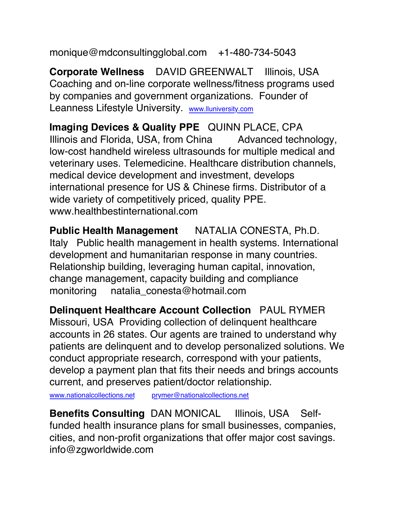monique@mdconsultingglobal.com +1-480-734-5043

**Corporate Wellness** DAVID GREENWALT Illinois, USA Coaching and on-line corporate wellness/fitness programs used by companies and government organizations. Founder of Leanness Lifestyle University. www.lluniversity.com

**Imaging Devices & Quality PPE** QUINN PLACE, CPA Illinois and Florida, USA, from China Advanced technology, low-cost handheld wireless ultrasounds for multiple medical and veterinary uses. Telemedicine. Healthcare distribution channels, medical device development and investment, develops international presence for US & Chinese firms. Distributor of a wide variety of competitively priced, quality PPE. www.healthbestinternational.com

**Public Health Management** NATALIA CONESTA, Ph.D. Italy Public health management in health systems. International development and humanitarian response in many countries. Relationship building, leveraging human capital, innovation, change management, capacity building and compliance monitoring natalia\_conesta@hotmail.com

**Delinquent Healthcare Account Collection** PAUL RYMER Missouri, USA Providing collection of delinquent healthcare accounts in 26 states. Our agents are trained to understand why patients are delinquent and to develop personalized solutions. We conduct appropriate research, correspond with your patients, develop a payment plan that fits their needs and brings accounts current, and preserves patient/doctor relationship.

www.nationalcollections.net prymer@nationalcollections.net

**Benefits Consulting** DAN MONICAL Illinois, USA Selffunded health insurance plans for small businesses, companies, cities, and non-profit organizations that offer major cost savings. info@zgworldwide.com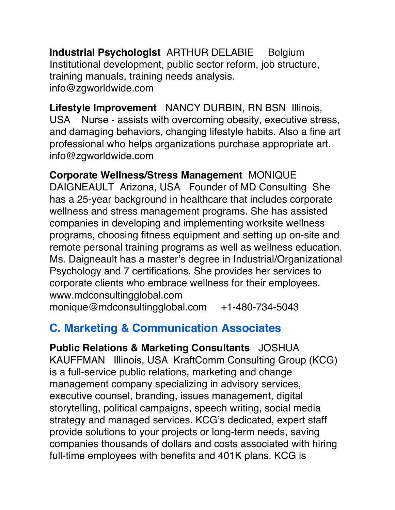**Industrial Psychologist** ARTHUR DELABIE Belgium Institutional development, public sector reform, job structure, training manuals, training needs analysis. info@zgworldwide.com

**Lifestyle Improvement** NANCY DURBIN, RN BSN Illinois, USA Nurse - assists with overcoming obesity, executive stress, and damaging behaviors, changing lifestyle habits. Also a fine art professional who helps organizations purchase appropriate art. info@zgworldwide.com

**Corporate Wellness/Stress Management** MONIQUE DAIGNEAULT Arizona, USA Founder of MD Consulting She has a 25-year background in healthcare that includes corporate wellness and stress management programs. She has assisted companies in developing and implementing worksite wellness programs, choosing fitness equipment and setting up on-site and remote personal training programs as well as wellness education. Ms. Daigneault has a master's degree in Industrial/Organizational Psychology and 7 certifications. She provides her services to corporate clients who embrace wellness for their employees. www.mdconsultingglobal.com

monique@mdconsultingglobal.com +1-480-734-5043

# **C. Marketing & Communication Associates**

**Public Relations & Marketing Consultants** JOSHUA KAUFFMAN Illinois, USA KraftComm Consulting Group (KCG) is a full-service public relations, marketing and change management company specializing in advisory services, executive counsel, branding, issues management, digital storytelling, political campaigns, speech writing, social media strategy and managed services. KCG's dedicated, expert staff provide solutions to your projects or long-term needs, saving companies thousands of dollars and costs associated with hiring full-time employees with benefits and 401K plans. KCG is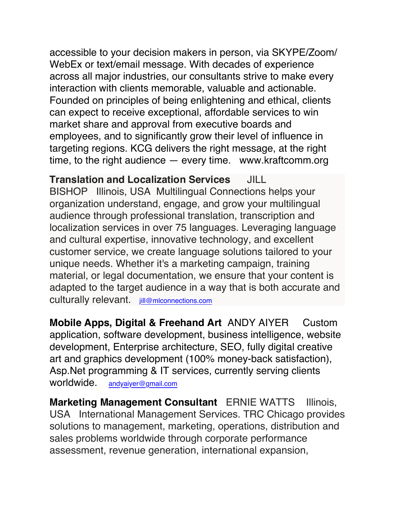accessible to your decision makers in person, via SKYPE/Zoom/ WebEx or text/email message. With decades of experience across all major industries, our consultants strive to make every interaction with clients memorable, valuable and actionable. Founded on principles of being enlightening and ethical, clients can expect to receive exceptional, affordable services to win market share and approval from executive boards and employees, and to significantly grow their level of influence in targeting regions. KCG delivers the right message, at the right time, to the right audience — every time. www.kraftcomm.org

**Translation and Localization Services** JILL BISHOP Illinois, USA Multilingual Connections helps your organization understand, engage, and grow your multilingual audience through professional translation, transcription and localization services in over 75 languages. Leveraging language and cultural expertise, innovative technology, and excellent customer service, we create language solutions tailored to your unique needs. Whether it's a marketing campaign, training material, or legal documentation, we ensure that your content is adapted to the target audience in a way that is both accurate and culturally relevant. jill@mlconnections.com

**Mobile Apps, Digital & Freehand Art** ANDY AIYER Custom application, software development, business intelligence, website development, Enterprise architecture, SEO, fully digital creative art and graphics development (100% money-back satisfaction), Asp.Net programming & IT services, currently serving clients worldwide. andyaiyer@gmail.com

**Marketing Management Consultant** ERNIE WATTS Illinois, USA International Management Services. TRC Chicago provides solutions to management, marketing, operations, distribution and sales problems worldwide through corporate performance assessment, revenue generation, international expansion,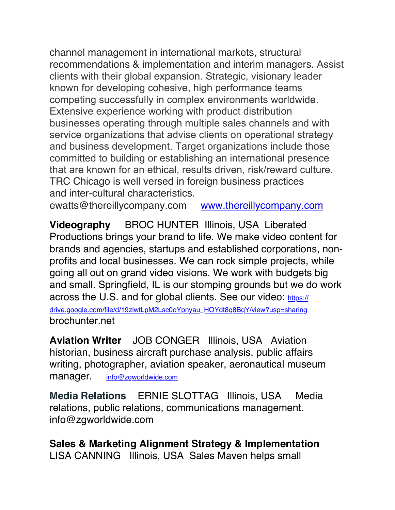channel management in international markets, structural recommendations & implementation and interim managers. Assist clients with their global expansion. Strategic, visionary leader known for developing cohesive, high performance teams competing successfully in complex environments worldwide. Extensive experience working with product distribution businesses operating through multiple sales channels and with service organizations that advise clients on operational strategy and business development. Target organizations include those committed to building or establishing an international presence that are known for an ethical, results driven, risk/reward culture. TRC Chicago is well versed in foreign business practices and inter-cultural characteristics.

ewatts@thereillycompany.com www.thereillycompany.com

**Videography** BROC HUNTER Illinois, USA Liberated Productions brings your brand to life. We make video content for brands and agencies, startups and established corporations, nonprofits and local businesses. We can rock simple projects, while going all out on grand video visions. We work with budgets big and small. Springfield, IL is our stomping grounds but we do work across the U.S. and for global clients. See our video: https:// drive.google.com/file/d/19zlwtLpM2Lsc0oYpnyau\_HOYdt8q8BqY/view?usp=sharing brochunter.net

**Aviation Writer** JOB CONGER Illinois, USA Aviation historian, business aircraft purchase analysis, public affairs writing, photographer, aviation speaker, aeronautical museum manager. info@zgworldwide.com

**Media Relations** ERNIE SLOTTAG Illinois, USA Media relations, public relations, communications management. info@zgworldwide.com

**Sales & Marketing Alignment Strategy & Implementation**  LISA CANNING Illinois, USA Sales Maven helps small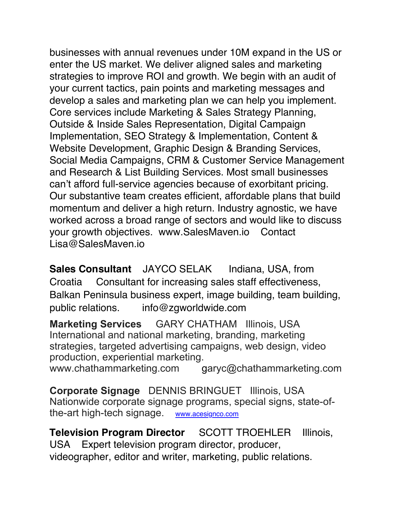businesses with annual revenues under 10M expand in the US or enter the US market. We deliver aligned sales and marketing strategies to improve ROI and growth. We begin with an audit of your current tactics, pain points and marketing messages and develop a sales and marketing plan we can help you implement. Core services include Marketing & Sales Strategy Planning, Outside & Inside Sales Representation, Digital Campaign Implementation, SEO Strategy & Implementation, Content & Website Development, Graphic Design & Branding Services, Social Media Campaigns, CRM & Customer Service Management and Research & List Building Services. Most small businesses can't afford full-service agencies because of exorbitant pricing. Our substantive team creates efficient, affordable plans that build momentum and deliver a high return. Industry agnostic, we have worked across a broad range of sectors and would like to discuss your growth objectives. www.SalesMaven.io Contact Lisa@SalesMaven.io

**Sales Consultant** JAYCO SELAK Indiana, USA, from Croatia Consultant for increasing sales staff effectiveness, Balkan Peninsula business expert, image building, team building, public relations. info@zgworldwide.com

**Marketing Services** GARY CHATHAM Illinois, USA International and national marketing, branding, marketing strategies, targeted advertising campaigns, web design, video production, experiential marketing. www.chathammarketing.com garyc@chathammarketing.com

**Corporate Signage** DENNIS BRINGUET Illinois, USA Nationwide corporate signage programs, special signs, state-ofthe-art high-tech signage. www.acesignco.com

**Television Program Director** SCOTT TROEHLER Illinois, USA Expert television program director, producer, videographer, editor and writer, marketing, public relations.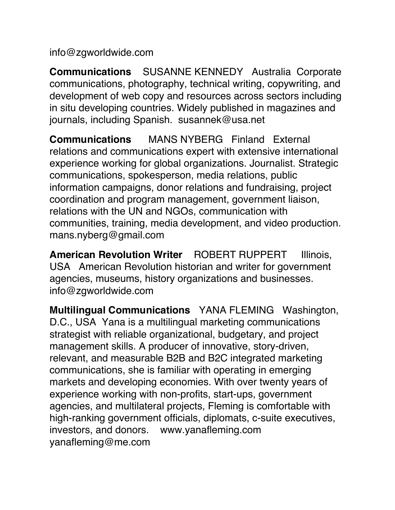info@zgworldwide.com

**Communications** SUSANNE KENNEDY Australia Corporate communications, photography, technical writing, copywriting, and development of web copy and resources across sectors including in situ developing countries. Widely published in magazines and journals, including Spanish. susannek@usa.net

**Communications** MANS NYBERG Finland External relations and communications expert with extensive international experience working for global organizations. Journalist. Strategic communications, spokesperson, media relations, public information campaigns, donor relations and fundraising, project coordination and program management, government liaison, relations with the UN and NGOs, communication with communities, training, media development, and video production. mans.nyberg@gmail.com

**American Revolution Writer** ROBERT RUPPERT Illinois, USA American Revolution historian and writer for government agencies, museums, history organizations and businesses. info@zgworldwide.com

**Multilingual Communications** YANA FLEMING Washington, D.C., USA Yana is a multilingual marketing communications strategist with reliable organizational, budgetary, and project management skills. A producer of innovative, story-driven, relevant, and measurable B2B and B2C integrated marketing communications, she is familiar with operating in emerging markets and developing economies. With over twenty years of experience working with non-profits, start-ups, government agencies, and multilateral projects, Fleming is comfortable with high-ranking government officials, diplomats, c-suite executives, investors, and donors. www.yanafleming.com yanafleming@me.com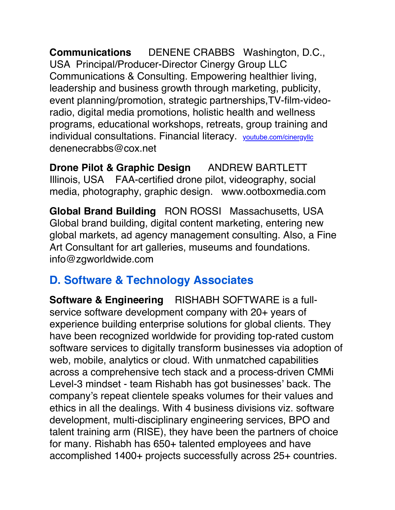**Communications** DENENE CRABBS Washington, D.C., USA Principal/Producer-Director Cinergy Group LLC Communications & Consulting. Empowering healthier living, leadership and business growth through marketing, publicity, event planning/promotion, strategic partnerships,TV-film-videoradio, digital media promotions, holistic health and wellness programs, educational workshops, retreats, group training and individual consultations. Financial literacy. youtube.com/cinergyllc denenecrabbs@cox.net

**Drone Pilot & Graphic Design** ANDREW BARTLETT Illinois, USA FAA-certified drone pilot, videography, social media, photography, graphic design. www.ootboxmedia.com

**Global Brand Building** RON ROSSI Massachusetts, USA Global brand building, digital content marketing, entering new global markets, ad agency management consulting. Also, a Fine Art Consultant for art galleries, museums and foundations. info@zgworldwide.com

# **D. Software & Technology Associates**

**Software & Engineering** RISHABH SOFTWARE is a fullservice software development company with 20+ years of experience building enterprise solutions for global clients. They have been recognized worldwide for providing top-rated custom software services to digitally transform businesses via adoption of web, mobile, analytics or cloud. With unmatched capabilities across a comprehensive tech stack and a process-driven CMMi Level-3 mindset - team Rishabh has got businesses' back. The company's repeat clientele speaks volumes for their values and ethics in all the dealings. With 4 business divisions viz. software development, multi-disciplinary engineering services, BPO and talent training arm (RISE), they have been the partners of choice for many. Rishabh has 650+ talented employees and have accomplished 1400+ projects successfully across 25+ countries.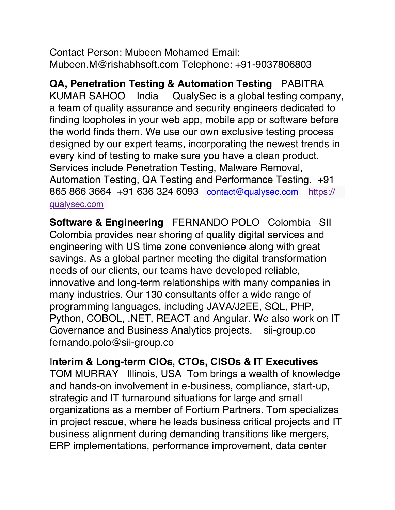Contact Person: Mubeen Mohamed Email: Mubeen.M@rishabhsoft.com Telephone: +91-9037806803

**QA, Penetration Testing & Automation Testing** PABITRA KUMAR SAHOO India QualySec is a global testing company, a team of quality assurance and security engineers dedicated to finding loopholes in your web app, mobile app or software before the world finds them. We use our own exclusive testing process designed by our expert teams, incorporating the newest trends in every kind of testing to make sure you have a clean product. Services include Penetration Testing, Malware Removal, Automation Testing, QA Testing and Performance Testing. +91 865 866 3664 +91 636 324 6093 contact@qualysec.com https:// qualysec.com

**Software & Engineering** FERNANDO POLO Colombia SII Colombia provides near shoring of quality digital services and engineering with US time zone convenience along with great savings. As a global partner meeting the digital transformation needs of our clients, our teams have developed reliable, innovative and long-term relationships with many companies in many industries. Our 130 consultants offer a wide range of programming languages, including JAVA/J2EE, SQL, PHP, Python, COBOL, .NET, REACT and Angular. We also work on IT Governance and Business Analytics projects. sii-group.co fernando.polo@sii-group.co

#### I**nterim & Long-term CIOs, CTOs, CISOs & IT Executives**

TOM MURRAY Illinois, USA Tom brings a wealth of knowledge and hands-on involvement in e-business, compliance, start-up, strategic and IT turnaround situations for large and small organizations as a member of Fortium Partners. Tom specializes in project rescue, where he leads business critical projects and IT business alignment during demanding transitions like mergers, ERP implementations, performance improvement, data center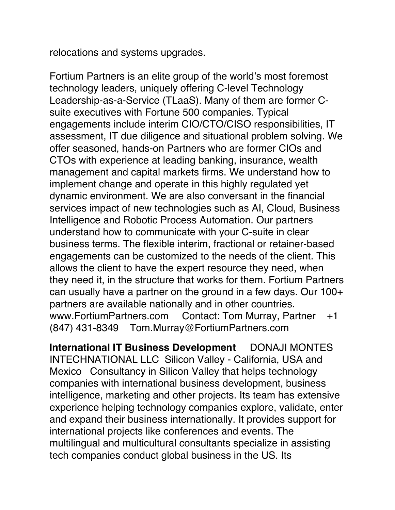relocations and systems upgrades.

Fortium Partners is an elite group of the world's most foremost technology leaders, uniquely offering C-level Technology Leadership-as-a-Service (TLaaS). Many of them are former Csuite executives with Fortune 500 companies. Typical engagements include interim CIO/CTO/CISO responsibilities, IT assessment, IT due diligence and situational problem solving. We offer seasoned, hands-on Partners who are former CIOs and CTOs with experience at leading banking, insurance, wealth management and capital markets firms. We understand how to implement change and operate in this highly regulated yet dynamic environment. We are also conversant in the financial services impact of new technologies such as AI, Cloud, Business Intelligence and Robotic Process Automation. Our partners understand how to communicate with your C-suite in clear business terms. The flexible interim, fractional or retainer-based engagements can be customized to the needs of the client. This allows the client to have the expert resource they need, when they need it, in the structure that works for them. Fortium Partners can usually have a partner on the ground in a few days. Our 100+ partners are available nationally and in other countries. www.FortiumPartners.com Contact: Tom Murray, Partner +1 (847) 431-8349 Tom.Murray@FortiumPartners.com

**International IT Business Development** DONAJI MONTES INTECHNATIONAL LLC Silicon Valley - California, USA and Mexico Consultancy in Silicon Valley that helps technology companies with international business development, business intelligence, marketing and other projects. Its team has extensive experience helping technology companies explore, validate, enter and expand their business internationally. It provides support for international projects like conferences and events. The multilingual and multicultural consultants specialize in assisting tech companies conduct global business in the US. Its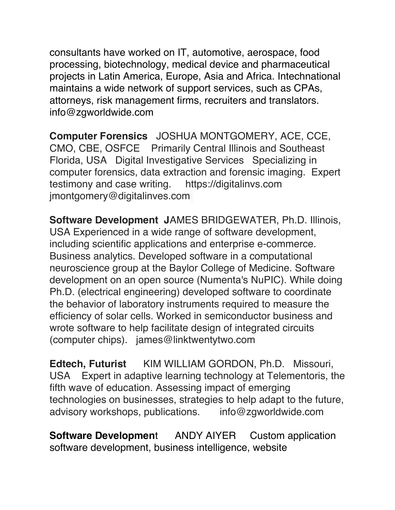consultants have worked on IT, automotive, aerospace, food processing, biotechnology, medical device and pharmaceutical projects in Latin America, Europe, Asia and Africa. Intechnational maintains a wide network of support services, such as CPAs, attorneys, risk management firms, recruiters and translators. info@zgworldwide.com

**Computer Forensics** JOSHUA MONTGOMERY, ACE, CCE, CMO, CBE, OSFCE Primarily Central Illinois and Southeast Florida, USA Digital Investigative Services Specializing in computer forensics, data extraction and forensic imaging. Expert testimony and case writing. https://digitalinvs.com jmontgomery@digitalinves.com

**Software Development J**AMES BRIDGEWATER, Ph.D. Illinois, USA Experienced in a wide range of software development, including scientific applications and enterprise e-commerce. Business analytics. Developed software in a computational neuroscience group at the Baylor College of Medicine. Software development on an open source (Numenta's NuPIC). While doing Ph.D. (electrical engineering) developed software to coordinate the behavior of laboratory instruments required to measure the efficiency of solar cells. Worked in semiconductor business and wrote software to help facilitate design of integrated circuits (computer chips). james@linktwentytwo.com

**Edtech, Futurist** KIM WILLIAM GORDON, Ph.D. Missouri, USA Expert in adaptive learning technology at Telementoris, the fifth wave of education. Assessing impact of emerging technologies on businesses, strategies to help adapt to the future, advisory workshops, publications. info@zgworldwide.com

**Software Development** ANDY AIYER Custom application software development, business intelligence, website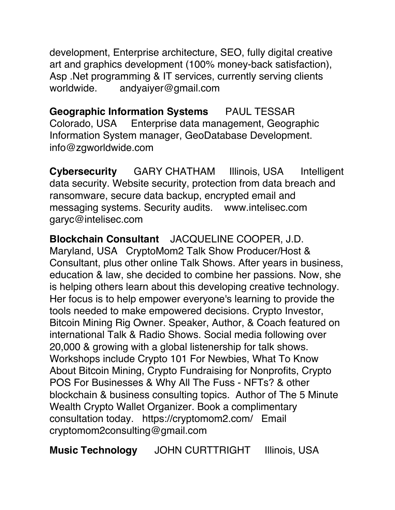development, Enterprise architecture, SEO, fully digital creative art and graphics development (100% money-back satisfaction), Asp .Net programming & IT services, currently serving clients worldwide. andyaiyer@gmail.com

**Geographic Information Systems** PAUL TESSAR Colorado, USA Enterprise data management, Geographic Information System manager, GeoDatabase Development. info@zgworldwide.com

**Cybersecurity** GARY CHATHAM Illinois, USA Intelligent data security. Website security, protection from data breach and ransomware, secure data backup, encrypted email and messaging systems. Security audits. www.intelisec.com garyc@intelisec.com

**Blockchain Consultant** JACQUELINE COOPER, J.D. Maryland, USA CryptoMom2 Talk Show Producer/Host & Consultant, plus other online Talk Shows. After years in business, education & law, she decided to combine her passions. Now, she is helping others learn about this developing creative technology. Her focus is to help empower everyone's learning to provide the tools needed to make empowered decisions. Crypto Investor, Bitcoin Mining Rig Owner. Speaker, Author, & Coach featured on international Talk & Radio Shows. Social media following over 20,000 & growing with a global listenership for talk shows. Workshops include Crypto 101 For Newbies, What To Know About Bitcoin Mining, Crypto Fundraising for Nonprofits, Crypto POS For Businesses & Why All The Fuss - NFTs? & other blockchain & business consulting topics. Author of The 5 Minute Wealth Crypto Wallet Organizer. Book a complimentary consultation today. https://cryptomom2.com/ Email cryptomom2consulting@gmail.com

**Music Technology** JOHN CURTTRIGHT Illinois, USA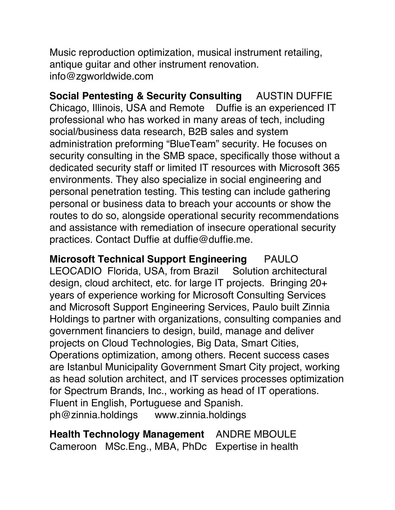Music reproduction optimization, musical instrument retailing, antique guitar and other instrument renovation. info@zgworldwide.com

**Social Pentesting & Security Consulting** AUSTIN DUFFIE Chicago, Illinois, USA and Remote Duffie is an experienced IT professional who has worked in many areas of tech, including social/business data research, B2B sales and system administration preforming "BlueTeam" security. He focuses on security consulting in the SMB space, specifically those without a dedicated security staff or limited IT resources with Microsoft 365 environments. They also specialize in social engineering and personal penetration testing. This testing can include gathering personal or business data to breach your accounts or show the routes to do so, alongside operational security recommendations and assistance with remediation of insecure operational security practices. Contact Duffie at duffie@duffie.me.

**Microsoft Technical Support Engineering** PAULO LEOCADIO Florida, USA, from Brazil Solution architectural design, cloud architect, etc. for large IT projects. Bringing 20+ years of experience working for Microsoft Consulting Services and Microsoft Support Engineering Services, Paulo built Zinnia Holdings to partner with organizations, consulting companies and government financiers to design, build, manage and deliver projects on Cloud Technologies, Big Data, Smart Cities, Operations optimization, among others. Recent success cases are Istanbul Municipality Government Smart City project, working as head solution architect, and IT services processes optimization for Spectrum Brands, Inc., working as head of IT operations. Fluent in English, Portuguese and Spanish. ph@zinnia.holdings www.zinnia.holdings

**Health Technology Management** ANDRE MBOULE Cameroon MSc.Eng., MBA, PhDc Expertise in health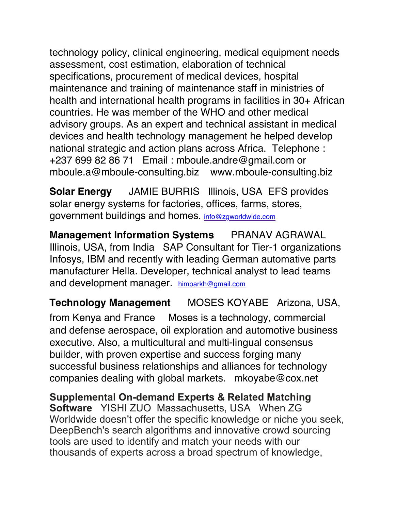technology policy, clinical engineering, medical equipment needs assessment, cost estimation, elaboration of technical specifications, procurement of medical devices, hospital maintenance and training of maintenance staff in ministries of health and international health programs in facilities in 30+ African countries. He was member of the WHO and other medical advisory groups. As an expert and technical assistant in medical devices and health technology management he helped develop national strategic and action plans across Africa. Telephone : +237 699 82 86 71 Email : mboule.andre@gmail.com or mboule.a@mboule-consulting.biz www.mboule-consulting.biz

**Solar Energy** JAMIE BURRIS Illinois, USA EFS provides solar energy systems for factories, offices, farms, stores, government buildings and homes. info@zgworldwide.com

**Management Information Systems PRANAV AGRAWAL** Illinois, USA, from India SAP Consultant for Tier-1 organizations Infosys, IBM and recently with leading German automative parts manufacturer Hella. Developer, technical analyst to lead teams and development manager. himparkh@gmail.com

**Technology Management** MOSES KOYABE Arizona, USA, from Kenya and France Moses is a technology, commercial and defense aerospace, oil exploration and automotive business executive. Also, a multicultural and multi-lingual consensus builder, with proven expertise and success forging many successful business relationships and alliances for technology companies dealing with global markets. mkoyabe@cox.net

**Supplemental On-demand Experts & Related Matching Software** YISHI ZUO Massachusetts, USA When ZG Worldwide doesn't offer the specific knowledge or niche you seek, DeepBench's search algorithms and innovative crowd sourcing tools are used to identify and match your needs with our thousands of experts across a broad spectrum of knowledge,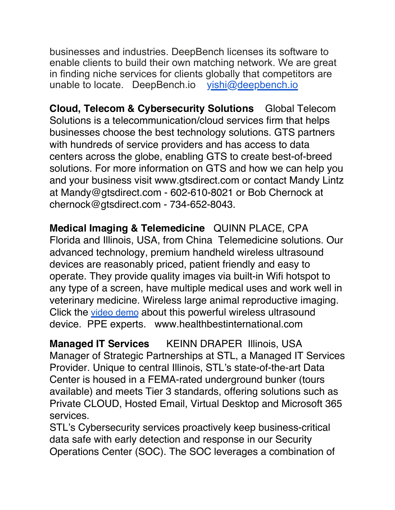businesses and industries. DeepBench licenses its software to enable clients to build their own matching network. We are great in finding niche services for clients globally that competitors are unable to locate. DeepBench.io yishi@deepbench.io

**Cloud, Telecom & Cybersecurity Solutions** Global Telecom Solutions is a telecommunication/cloud services firm that helps businesses choose the best technology solutions. GTS partners with hundreds of service providers and has access to data centers across the globe, enabling GTS to create best-of-breed solutions. For more information on GTS and how we can help you and your business visit www.gtsdirect.com or contact Mandy Lintz at Mandy@gtsdirect.com - 602-610-8021 or Bob Chernock at chernock@gtsdirect.com - 734-652-8043.

**Medical Imaging & Telemedicine** QUINN PLACE, CPA Florida and Illinois, USA, from China Telemedicine solutions. Our advanced technology, premium handheld wireless ultrasound devices are reasonably priced, patient friendly and easy to operate. They provide quality images via built-in Wifi hotspot to any type of a screen, have multiple medical uses and work well in veterinary medicine. Wireless large animal reproductive imaging. Click the video demo about this powerful wireless ultrasound device. PPE experts. www.healthbestinternational.com

**Managed IT Services** KEINN DRAPER Illinois, USA Manager of Strategic Partnerships at STL, a Managed IT Services Provider. Unique to central Illinois, STL's state-of-the-art Data Center is housed in a FEMA-rated underground bunker (tours available) and meets Tier 3 standards, offering solutions such as Private CLOUD, Hosted Email, Virtual Desktop and Microsoft 365 services.

STL's Cybersecurity services proactively keep business-critical data safe with early detection and response in our Security Operations Center (SOC). The SOC leverages a combination of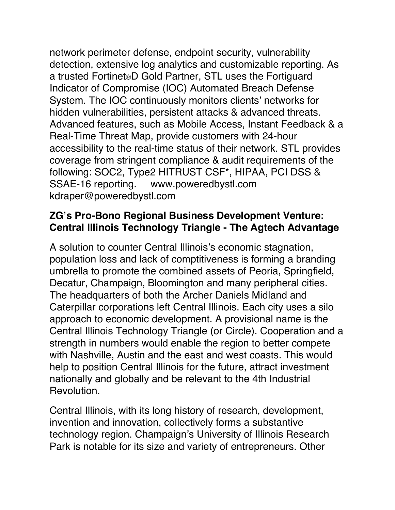network perimeter defense, endpoint security, vulnerability detection, extensive log analytics and customizable reporting. As a trusted Fortinet®D Gold Partner, STL uses the Fortiguard Indicator of Compromise (IOC) Automated Breach Defense System. The IOC continuously monitors clients' networks for hidden vulnerabilities, persistent attacks & advanced threats. Advanced features, such as Mobile Access, Instant Feedback & a Real-Time Threat Map, provide customers with 24-hour accessibility to the real-time status of their network. STL provides coverage from stringent compliance & audit requirements of the following: SOC2, Type2 HITRUST CSF\*, HIPAA, PCI DSS & SSAE-16 reporting. www.poweredbystl.com kdraper@poweredbystl.com

### **ZG's Pro-Bono Regional Business Development Venture: Central Illinois Technology Triangle - The Agtech Advantage**

A solution to counter Central Illinois's economic stagnation, population loss and lack of comptitiveness is forming a branding umbrella to promote the combined assets of Peoria, Springfield, Decatur, Champaign, Bloomington and many peripheral cities. The headquarters of both the Archer Daniels Midland and Caterpillar corporations left Central Illinois. Each city uses a silo approach to economic development. A provisional name is the Central Illinois Technology Triangle (or Circle). Cooperation and a strength in numbers would enable the region to better compete with Nashville, Austin and the east and west coasts. This would help to position Central Illinois for the future, attract investment nationally and globally and be relevant to the 4th Industrial Revolution.

Central Illinois, with its long history of research, development, invention and innovation, collectively forms a substantive technology region. Champaign's University of Illinois Research Park is notable for its size and variety of entrepreneurs. Other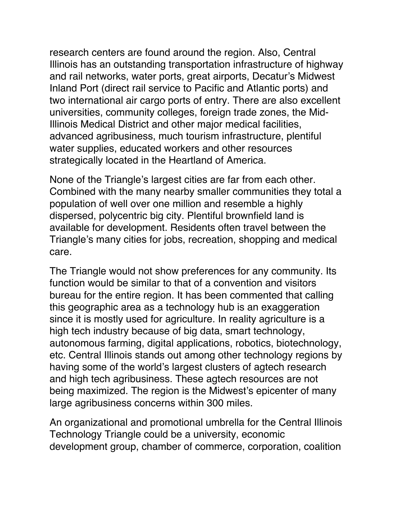research centers are found around the region. Also, Central Illinois has an outstanding transportation infrastructure of highway and rail networks, water ports, great airports, Decatur's Midwest Inland Port (direct rail service to Pacific and Atlantic ports) and two international air cargo ports of entry. There are also excellent universities, community colleges, foreign trade zones, the Mid-Illinois Medical District and other major medical facilities, advanced agribusiness, much tourism infrastructure, plentiful water supplies, educated workers and other resources strategically located in the Heartland of America.

None of the Triangle's largest cities are far from each other. Combined with the many nearby smaller communities they total a population of well over one million and resemble a highly dispersed, polycentric big city. Plentiful brownfield land is available for development. Residents often travel between the Triangle's many cities for jobs, recreation, shopping and medical care.

The Triangle would not show preferences for any community. Its function would be similar to that of a convention and visitors bureau for the entire region. It has been commented that calling this geographic area as a technology hub is an exaggeration since it is mostly used for agriculture. In reality agriculture is a high tech industry because of big data, smart technology, autonomous farming, digital applications, robotics, biotechnology, etc. Central Illinois stands out among other technology regions by having some of the world's largest clusters of agtech research and high tech agribusiness. These agtech resources are not being maximized. The region is the Midwest's epicenter of many large agribusiness concerns within 300 miles.

An organizational and promotional umbrella for the Central Illinois Technology Triangle could be a university, economic development group, chamber of commerce, corporation, coalition